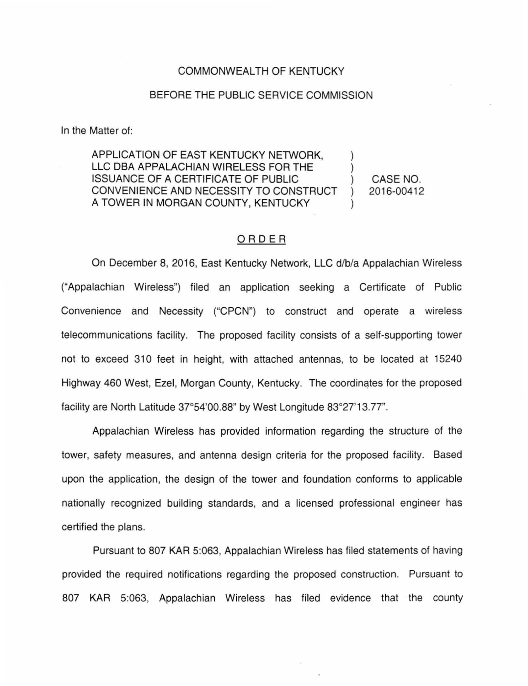## COMMONWEALTH OF KENTUCKY

## BEFORE THE PUBLIC SERVICE COMMISSION

In the Matter of:

APPLICATION OF EAST KENTUCKY NETWORK. LLC DBA APPALACHIAN WIRELESS FOR THE ISSUANCE OF A CERTIFICATE OF PUBLIC ) CONVENIENCE AND NECESSITY TO CONSTRUCT A TOWER IN MORGAN COUNTY, KENTUCKY

CASE NO. 2016-00412

## ORDER

On December 8, 2016, East Kentucky Network, LLC d/b/a Appalachian Wireless ("Appalachian Wireless") filed an application seeking a Certificate of Public Convenience and Necessity ("CPCN") to construct and operate a wireless telecommunications facility. The proposed facility consists of a self-supporting tower not to exceed 310 feet in height, with attached antennas, to be located at 15240 Highway 460 West, Ezel, Morgan County, Kentucky. The coordinates for the proposed facility are North Latitude 37°54'00.88" by West Longitude 83°27'13.77".

Appalachian Wireless has provided information regarding the structure of the tower, safety measures, and antenna design criteria for the proposed facility. Based upon the application, the design of the tower and foundation conforms to applicable nationally recognized building standards, and a licensed professional engineer has certified the plans.

Pursuant to 807 KAR 5:063, Appalachian Wireless has filed statements of having provided the required notifications regarding the proposed construction. Pursuant to 807 KAR 5:063, Appalachian Wireless has filed evidence that the county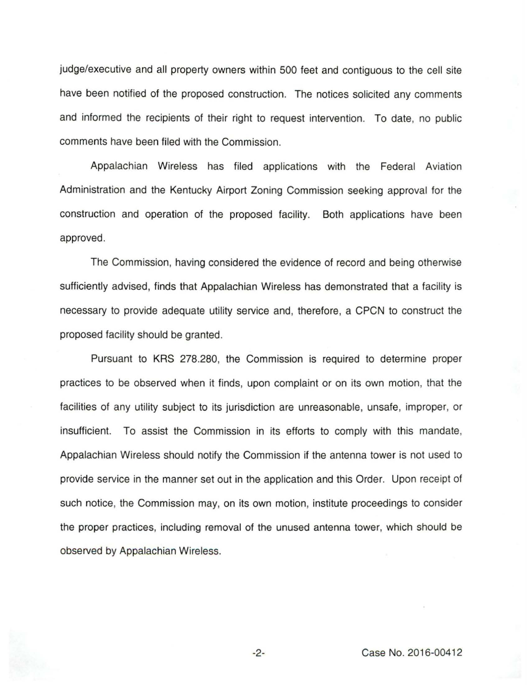judge/executive and all property owners within 500 feet and contiguous to the cell site have been notified of the proposed construction. The notices solicited any comments and informed the recipients of their right to request intervention. To date, no public comments have been filed with the Commission.

Appalachian Wireless has filed applications with the Federal Aviation Administration and the Kentucky Airport Zoning Commission seeking approval for the construction and operation of the proposed facility. Both applications have been approved.

The Commission, having considered the evidence of record and being otherwise sufficiently advised, finds that Appalachian Wireless has demonstrated that a facility is necessary to provide adequate utility service and, therefore, a CPCN to construct the proposed facility should be granted.

Pursuant to KRS 278.280, the Commission is required to determine proper practices to be observed when it finds, upon complaint or on its own motion, that the facilities of any utility subject to its jurisdiction are unreasonable, unsafe, improper, or insufficient. To assist the Commission in its efforts to comply with this mandate, Appalachian Wireless should notify the Commission if the antenna tower is not used to provide service in the manner set out in the application and this Order. Upon receipt of such notice, the Commission may, on its own motion, institute proceedings to consider the proper practices, including removal of the unused antenna tower, which should be observed by Appalachian Wireless.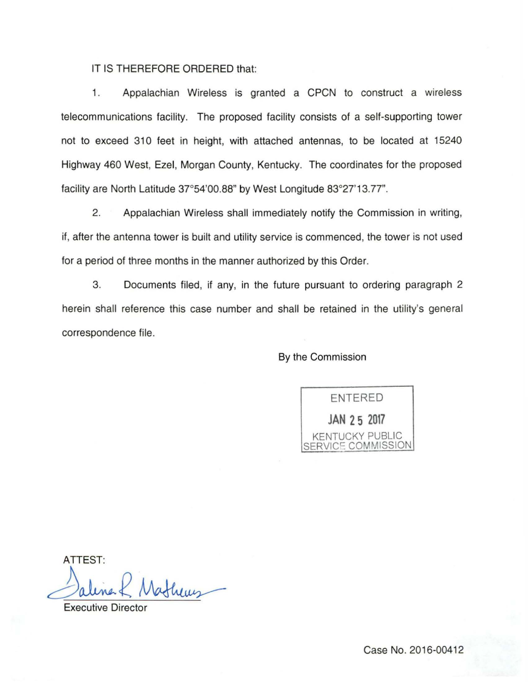IT IS THEREFORE ORDERED that:

1. Appalachian Wireless is granted a CPCN to construct a wireless telecommunications facility. The proposed facility consists of a self-supporting tower not to exceed 310 feet in height, with attached antennas, to be located at 15240 Highway 460 West, Ezel, Morgan County, Kentucky. The coordinates for the proposed facility are North Latitude 37°54'00.88" by West Longitude 83°27'13.77".

2. Appalachian Wireless shall immediately notify the Commission in writing, if, after the antenna tower is built and utility service is commenced, the tower is not used for a period of three months in the manner authorized by this Order.

3. Documents filed, if any, in the future pursuant to ordering paragraph 2 herein shall reference this case number and shall be retained in the utility's general correspondence file.

By the Commission

ENTERED **JAN 2 5 2017**  KENTUCKY PUBLIC SERVICE COMMISSION

ATTEST:

2 Mathews

Executive Director